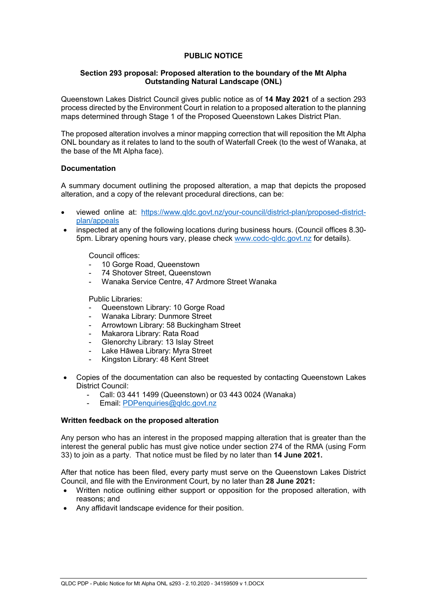# **PUBLIC NOTICE**

## **Section 293 proposal: Proposed alteration to the boundary of the Mt Alpha Outstanding Natural Landscape (ONL)**

Queenstown Lakes District Council gives public notice as of **14 May 2021** of a section 293 process directed by the Environment Court in relation to a proposed alteration to the planning maps determined through Stage 1 of the Proposed Queenstown Lakes District Plan.

The proposed alteration involves a minor mapping correction that will reposition the Mt Alpha ONL boundary as it relates to land to the south of Waterfall Creek (to the west of Wanaka, at the base of the Mt Alpha face).

## **Documentation**

A summary document outlining the proposed alteration, a map that depicts the proposed alteration, and a copy of the relevant procedural directions, can be:

- viewed online at: [https://www.qldc.govt.nz/your-council/district-plan/proposed-district](https://www.qldc.govt.nz/your-council/district-plan/proposed-district-plan/appeals)[plan/appeals](https://www.qldc.govt.nz/your-council/district-plan/proposed-district-plan/appeals)
- inspected at any of the following locations during business hours. (Council offices 8.30- 5pm. Library opening hours vary, please check [www.codc-qldc.govt.nz](https://codc-qldc.govt.nz/) for details).

Council offices:

- 10 Gorge Road, Queenstown
- 74 Shotover Street, Queenstown
- Wanaka Service Centre, 47 Ardmore Street Wanaka

Public Libraries:

- Queenstown Library: 10 Gorge Road
- Wanaka Library: Dunmore Street
- Arrowtown Library: 58 Buckingham Street
- Makarora Library: Rata Road
- Glenorchy Library: 13 Islay Street
- Lake Hāwea Library: Myra Street
- Kingston Library: 48 Kent Street
- Copies of the documentation can also be requested by contacting Queenstown Lakes District Council:
	- Call: 03 441 1499 (Queenstown) or 03 443 0024 (Wanaka)
	- Email: [PDPenquiries@qldc.govt.nz](mailto:PDPenquiries@qldc.govt.nz)

## **Written feedback on the proposed alteration**

Any person who has an interest in the proposed mapping alteration that is greater than the interest the general public has must give notice under section 274 of the RMA (using Form 33) to join as a party. That notice must be filed by no later than **14 June 2021.**

After that notice has been filed, every party must serve on the Queenstown Lakes District Council, and file with the Environment Court, by no later than **28 June 2021:**

- Written notice outlining either support or opposition for the proposed alteration, with reasons; and
- Any affidavit landscape evidence for their position.